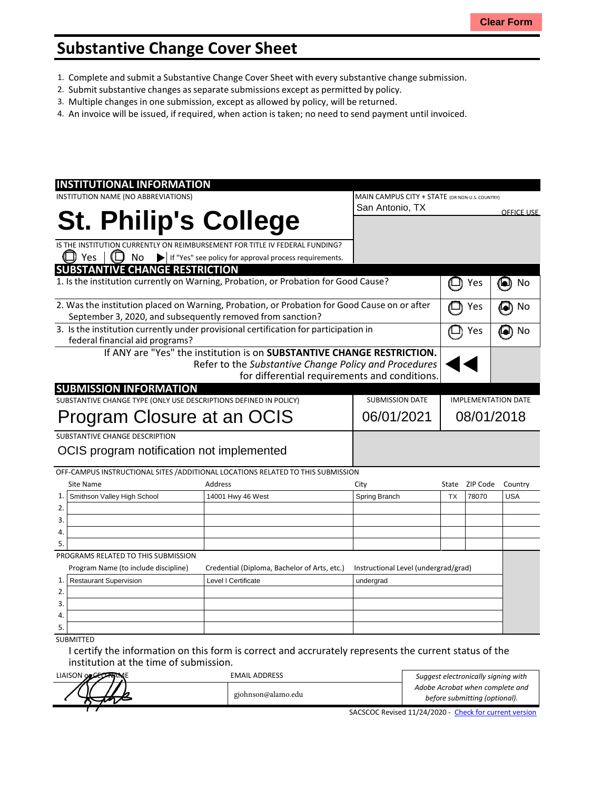## **Substantive Change Cover Sheet**

- 1. Complete and submit a Substantive Change Cover Sheet with every substantive change submission.
- 2. Submit substantive changes asseparate submissions except as permitted by policy.
- 3. Multiple changes in one submission, except as allowed by policy, will be returned.
- 4. An invoice will be issued, if required, when action is taken; no need to send payment until invoiced.

| <b>INSTITUTIONAL INFORMATION</b>                                                             |                                                                        |                                                |           |          |                   |
|----------------------------------------------------------------------------------------------|------------------------------------------------------------------------|------------------------------------------------|-----------|----------|-------------------|
| INSTITUTION NAME (NO ABBREVIATIONS)                                                          |                                                                        | MAIN CAMPUS CITY + STATE (OR NON-U.S. COUNTRY) |           |          |                   |
|                                                                                              |                                                                        | San Antonio, TX                                |           |          | <b>OFFICE USE</b> |
| <b>St. Philip's College</b>                                                                  |                                                                        |                                                |           |          |                   |
|                                                                                              |                                                                        |                                                |           |          |                   |
| IS THE INSTITUTION CURRENTLY ON REIMBURSEMENT FOR TITLE IV FEDERAL FUNDING?                  |                                                                        |                                                |           |          |                   |
| Yes<br>No<br>$\blacktriangleright$                                                           | If "Yes" see policy for approval process requirements.                 |                                                |           |          |                   |
| <b>SUBSTANTIVE CHANGE RESTRICTION</b>                                                        |                                                                        |                                                |           |          |                   |
| 1. Is the institution currently on Warning, Probation, or Probation for Good Cause?          |                                                                        |                                                |           | Yes      | No<br>o           |
| 2. Was the institution placed on Warning, Probation, or Probation for Good Cause on or after |                                                                        |                                                |           | Yes      | No                |
| September 3, 2020, and subsequently removed from sanction?                                   |                                                                        |                                                |           |          |                   |
| 3. Is the institution currently under provisional certification for participation in         |                                                                        |                                                |           | Yes      | No                |
| federal financial aid programs?                                                              |                                                                        |                                                |           |          |                   |
|                                                                                              | If ANY are "Yes" the institution is on SUBSTANTIVE CHANGE RESTRICTION. |                                                |           |          |                   |
|                                                                                              | Refer to the Substantive Change Policy and Procedures                  |                                                |           |          |                   |
|                                                                                              | for differential requirements and conditions.                          |                                                |           |          |                   |
| <b>SUBMISSION INFORMATION</b>                                                                |                                                                        |                                                |           |          |                   |
| SUBSTANTIVE CHANGE TYPE (ONLY USE DESCRIPTIONS DEFINED IN POLICY)                            | <b>SUBMISSION DATE</b>                                                 | <b>IMPLEMENTATION DATE</b>                     |           |          |                   |
|                                                                                              | 06/01/2021                                                             | 08/01/2018                                     |           |          |                   |
| Program Closure at an OCIS                                                                   |                                                                        |                                                |           |          |                   |
| SUBSTANTIVE CHANGE DESCRIPTION                                                               |                                                                        |                                                |           |          |                   |
| OCIS program notification not implemented                                                    |                                                                        |                                                |           |          |                   |
|                                                                                              |                                                                        |                                                |           |          |                   |
| OFF-CAMPUS INSTRUCTIONAL SITES / ADDITIONAL LOCATIONS RELATED TO THIS SUBMISSION             |                                                                        |                                                |           |          |                   |
| <b>Site Name</b>                                                                             | Address                                                                | City                                           | State     | ZIP Code | Country           |
| Smithson Valley High School<br>1.                                                            | 14001 Hwy 46 West                                                      | Spring Branch                                  | <b>TX</b> | 78070    | <b>USA</b>        |
| 2.                                                                                           |                                                                        |                                                |           |          |                   |
| 3.                                                                                           |                                                                        |                                                |           |          |                   |
| 4.                                                                                           |                                                                        |                                                |           |          |                   |
| 5.                                                                                           |                                                                        |                                                |           |          |                   |
| PROGRAMS RELATED TO THIS SUBMISSION                                                          |                                                                        |                                                |           |          |                   |
| Program Name (to include discipline)                                                         | Credential (Diploma, Bachelor of Arts, etc.)                           | Instructional Level (undergrad/grad)           |           |          |                   |
| <b>Restaurant Supervision</b><br>1.                                                          | Level I Certificate                                                    | undergrad                                      |           |          |                   |
| 2.                                                                                           |                                                                        |                                                |           |          |                   |
| 3.                                                                                           |                                                                        |                                                |           |          |                   |
| 4.                                                                                           |                                                                        |                                                |           |          |                   |
| 5.                                                                                           |                                                                        |                                                |           |          |                   |
|                                                                                              |                                                                        |                                                |           |          |                   |

I certify the information on this form is correct and accrurately represents the current status of the institution at the time of submission.

| LIAISON OF CELARANE | <b>EMAIL ADDRESS</b> | Suggest electronically signing with                    |
|---------------------|----------------------|--------------------------------------------------------|
|                     |                      | Adobe Acrobat when complete and                        |
|                     | gjohnson@alamo.edu   | before submitting (optional).                          |
|                     |                      | SACSCOC Revised 11/24/2020 - Check for current version |

SACSCOC Revised 11/24/2020 - Check [for current](http://sacscoc.org/app/uploads/2020/01/Substantive_Change_Cover_-Sheet.pdf) version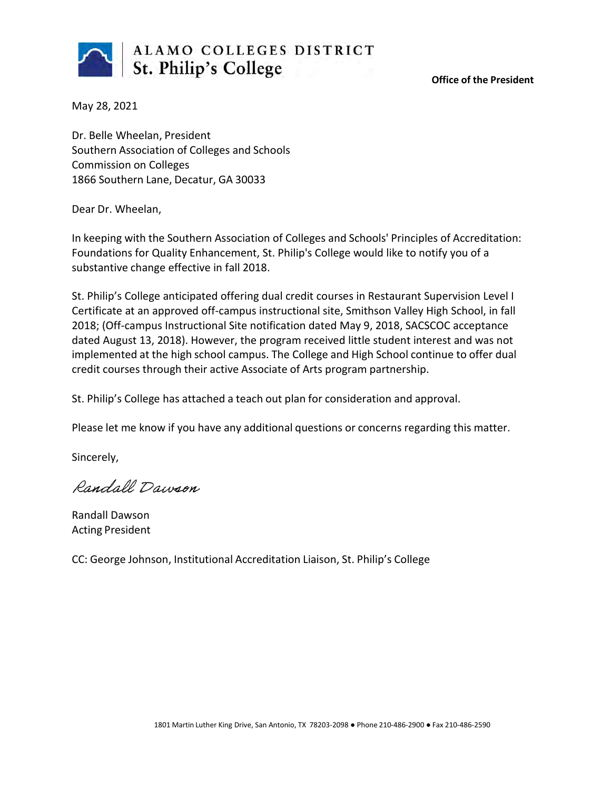

**Office of the President**

May 28, 2021

Dr. Belle Wheelan, President Southern Association of Colleges and Schools Commission on Colleges 1866 Southern Lane, Decatur, GA 30033

Dear Dr. Wheelan,

In keeping with the Southern Association of Colleges and Schools' Principles of Accreditation: Foundations for Quality Enhancement, St. Philip's College would like to notify you of a substantive change effective in fall 2018.

St. Philip's College anticipated offering dual credit courses in Restaurant Supervision Level I Certificate at an approved off-campus instructional site, Smithson Valley High School, in fall 2018; (Off-campus Instructional Site notification dated May 9, 2018, SACSCOC acceptance dated August 13, 2018). However, the program received little student interest and was not implemented at the high school campus. The College and High School continue to offer dual credit courses through their active Associate of Arts program partnership.

St. Philip's College has attached a teach out plan for consideration and approval.

Please let me know if you have any additional questions or concerns regarding this matter.

Sincerely,

Randall Dawson

Randall Dawson Acting President

CC: George Johnson, Institutional Accreditation Liaison, St. Philip's College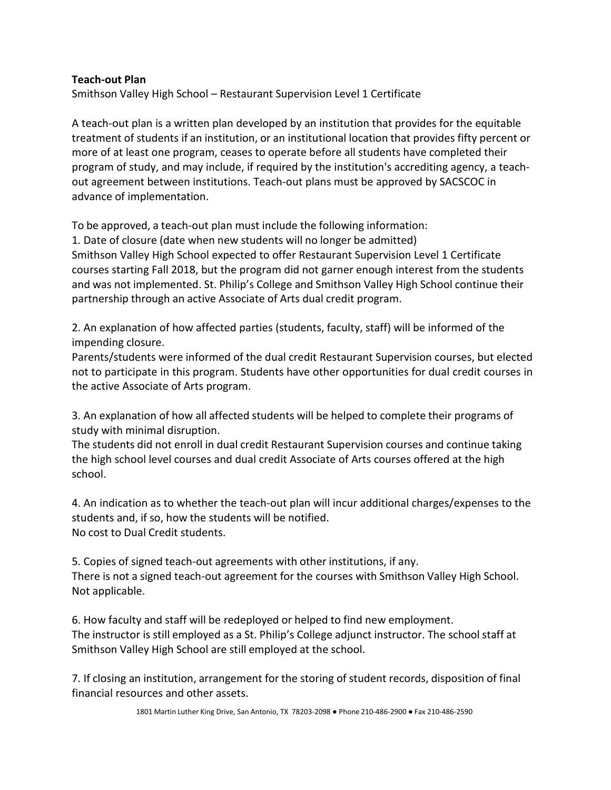## **Teach-out Plan**

Smithson Valley High School – Restaurant Supervision Level 1 Certificate

A teach-out plan is a written plan developed by an institution that provides for the equitable treatment of students if an institution, or an institutional location that provides fifty percent or more of at least one program, ceases to operate before all students have completed their program of study, and may include, if required by the institution's accrediting agency, a teachout agreement between institutions. Teach-out plans must be approved by SACSCOC in advance of implementation.

To be approved, a teach-out plan must include the following information:

1. Date of closure (date when new students will no longer be admitted) Smithson Valley High School expected to offer Restaurant Supervision Level 1 Certificate courses starting Fall 2018, but the program did not garner enough interest from the students and was not implemented. St. Philip's College and Smithson Valley High School continue their partnership through an active Associate of Arts dual credit program.

2. An explanation of how affected parties (students, faculty, staff) will be informed of the impending closure.

Parents/students were informed of the dual credit Restaurant Supervision courses, but elected not to participate in this program. Students have other opportunities for dual credit courses in the active Associate of Arts program.

3. An explanation of how all affected students will be helped to complete their programs of study with minimal disruption.

The students did not enroll in dual credit Restaurant Supervision courses and continue taking the high school level courses and dual credit Associate of Arts courses offered at the high school.

4. An indication as to whether the teach-out plan will incur additional charges/expenses to the students and, if so, how the students will be notified. No cost to Dual Credit students.

5. Copies of signed teach-out agreements with other institutions, if any. There is not a signed teach-out agreement for the courses with Smithson Valley High School. Not applicable.

6. How faculty and staff will be redeployed or helped to find new employment. The instructor is still employed as a St. Philip's College adjunct instructor. The school staff at Smithson Valley High School are still employed at the school.

7. If closing an institution, arrangement for the storing of student records, disposition of final financial resources and other assets.